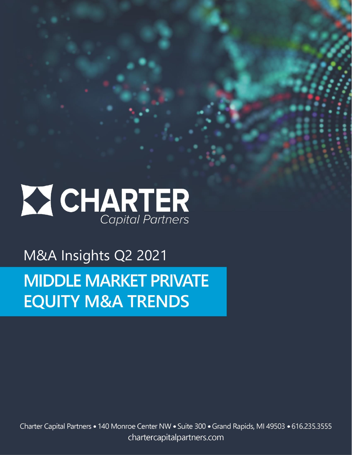

M&A Insights Q2 2021

# **MIDDLE MARKET PRIVATE EQUITY M&A TRENDS**

Charter Capital Partners • 140 Monroe Center NW • Suite 300 • Grand Rapids, MI 49503 • 616.235.3555 chartercapitalpartners.com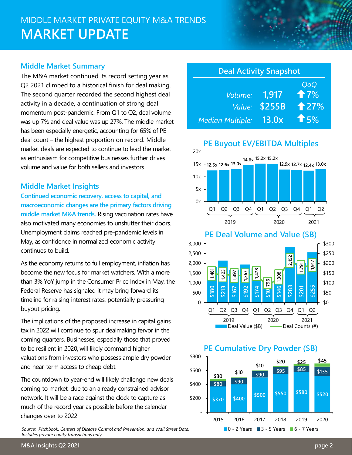# MIDDLE MARKET PRIVATE EQUITY M&A TRENDS **MARKET UPDATE**

### **Middle Market Summary**

The M&A market continued its record setting year as Q2 2021 climbed to a historical finish for deal making. The second quarter recorded the second highest deal activity in a decade, a continuation of strong deal momentum post-pandemic. From Q1 to Q2, deal volume was up 7% and deal value was up 27%. The middle market has been especially energetic, accounting for 65% of PE deal count – the highest proportion on record. Middle market deals are expected to continue to lead the market as enthusiasm for competitive businesses further drives volume and value for both sellers and investors

### **Middle Market Insights**

**Continued economic recovery, access to capital, and macroeconomic changes are the primary factors driving middle market M&A trends.** Rising vaccination rates have also motivated many economies to unshutter their doors. Unemployment claims reached pre-pandemic levels in May, as confidence in normalized economic activity continues to build.

As the economy returns to full employment, inflation has become the new focus for market watchers. With a more than 3% YoY jump in the Consumer Price Index in May, the Federal Reserve has signaled it may bring forward its timeline for raising interest rates, potentially pressuring buyout pricing.

The implications of the proposed increase in capital gains tax in 2022 will continue to spur dealmaking fervor in the coming quarters. Businesses, especially those that proved to be resilient in 2020, will likely command higher valuations from investors who possess ample dry powder and near-term access to cheap debt.

The countdown to year-end will likely challenge new deals coming to market, due to an already constrained advisor network. It will be a race against the clock to capture as much of the record year as possible before the calendar changes over to 2022.

*Source: Pitchbook, Centers of Disease Control and Prevention, and Wall Street Data. Includes private equity transactions only.*

| <b>Deal Activity Snapshot</b> |        |              |
|-------------------------------|--------|--------------|
|                               |        | QoQ          |
| Volume:                       | 1.917  | 17%          |
| Value:                        | \$255B | $\hat{+}27%$ |
| <b>Median Multiple:</b>       | 13.0x  | $\hat{T}$ 5% |







### **PE Cumulative Dry Powder (\$B)**